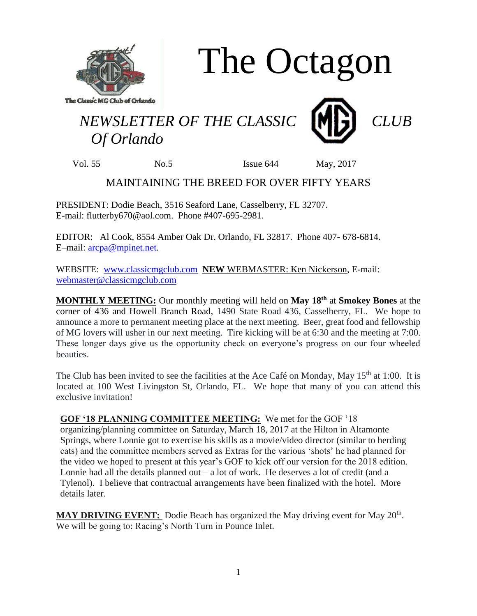

The Octagon

## *NEWSLETTER OF THE CLASSIC* **ME**  *Of Orlando*



Vol. 55 No.5 Issue 644 May, 2017

## MAINTAINING THE BREED FOR OVER FIFTY YEARS

PRESIDENT: Dodie Beach, 3516 Seaford Lane, Casselberry, FL 32707. E-mail: flutterby670@aol.com. Phone #407-695-2981.

EDITOR: Al Cook, 8554 Amber Oak Dr. Orlando, FL 32817. Phone 407- 678-6814. E–mail: [arcpa@mpinet.net.](mailto:arcpa@mpinet.net)

WEBSITE: [www.classicmgclub.com](http://www.classicmgclub.com/) **NEW** WEBMASTER: Ken Nickerson, E-mail: [webmaster@classicmgclub.com](mailto:webmaster@classicmgclub.com)

**MONTHLY MEETING:** Our monthly meeting will held on **May 18th** at **Smokey Bones** at the corner of 436 and Howell Branch Road, 1490 State Road 436, Casselberry, FL. We hope to announce a more to permanent meeting place at the next meeting. Beer, great food and fellowship of MG lovers will usher in our next meeting. Tire kicking will be at 6:30 and the meeting at 7:00. These longer days give us the opportunity check on everyone's progress on our four wheeled beauties.

The Club has been invited to see the facilities at the Ace Café on Monday, May 15<sup>th</sup> at 1:00. It is located at 100 West Livingston St, Orlando, FL. We hope that many of you can attend this exclusive invitation!

**GOF '18 PLANNING COMMITTEE MEETING:** We met for the GOF '18 organizing/planning committee on Saturday, March 18, 2017 at the Hilton in Altamonte Springs, where Lonnie got to exercise his skills as a movie/video director (similar to herding cats) and the committee members served as Extras for the various 'shots' he had planned for the video we hoped to present at this year's GOF to kick off our version for the 2018 edition. Lonnie had all the details planned out  $-$  a lot of work. He deserves a lot of credit (and a Tylenol). I believe that contractual arrangements have been finalized with the hotel. More details later.

MAY DRIVING EVENT: Dodie Beach has organized the May driving event for May 20<sup>th</sup>. We will be going to: Racing's North Turn in Pounce Inlet.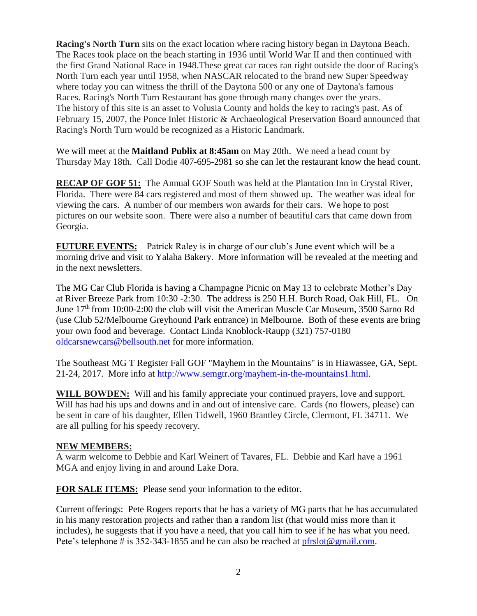**Racing's North Turn** sits on the exact location where racing history began in Daytona Beach. The Races took place on the beach starting in 1936 until World War II and then continued with the first Grand National Race in 1948.These great car races ran right outside the door of Racing's North Turn each year until 1958, when NASCAR relocated to the brand new Super Speedway where today you can witness the thrill of the Daytona 500 or any one of Daytona's famous Races. Racing's North Turn Restaurant has gone through many changes over the years. The history of this site is an asset to Volusia County and holds the key to racing's past. As of February 15, 2007, the Ponce Inlet Historic & Archaeological Preservation Board announced that Racing's North Turn would be recognized as a Historic Landmark.

We will meet at the **Maitland Publix at 8:45am** on May 20th. We need a head count by Thursday May 18th. Call Dodie 407-695-2981 so she can let the restaurant know the head count.

**RECAP OF GOF 51:** The Annual GOF South was held at the Plantation Inn in Crystal River, Florida. There were 84 cars registered and most of them showed up. The weather was ideal for viewing the cars. A number of our members won awards for their cars. We hope to post pictures on our website soon. There were also a number of beautiful cars that came down from Georgia.

**FUTURE EVENTS:** Patrick Raley is in charge of our club's June event which will be a morning drive and visit to Yalaha Bakery. More information will be revealed at the meeting and in the next newsletters.

The MG Car Club Florida is having a Champagne Picnic on May 13 to celebrate Mother's Day at River Breeze Park from 10:30 -2:30. The address is 250 H.H. Burch Road, Oak Hill, FL. On June 17<sup>th</sup> from 10:00-2:00 the club will visit the American Muscle Car Museum, 3500 Sarno Rd (use Club 52/Melbourne Greyhound Park entrance) in Melbourne. Both of these events are bring your own food and beverage. Contact Linda Knoblock-Raupp (321) 757-0180 [oldcarsnewcars@bellsouth.net](mailto:oldcarsnewcars@bellsouth.net) for more information.

The Southeast MG T Register Fall GOF "Mayhem in the Mountains" is in Hiawassee, GA, Sept. 21-24, 2017. More info at [http://www.semgtr.org/mayhem-in-the-mountains1.html.](http://www.semgtr.org/mayhem-in-the-mountains1.html)

**WILL BOWDEN:** Will and his family appreciate your continued prayers, love and support. Will has had his ups and downs and in and out of intensive care. Cards (no flowers, please) can be sent in care of his daughter, Ellen Tidwell, 1960 Brantley Circle, Clermont, FL 34711. We are all pulling for his speedy recovery.

## **NEW MEMBERS:**

A warm welcome to Debbie and Karl Weinert of Tavares, FL. Debbie and Karl have a 1961 MGA and enjoy living in and around Lake Dora.

**FOR SALE ITEMS:** Please send your information to the editor.

Current offerings: Pete Rogers reports that he has a variety of MG parts that he has accumulated in his many restoration projects and rather than a random list (that would miss more than it includes), he suggests that if you have a need, that you call him to see if he has what you need. Pete's telephone # is 352-343-1855 and he can also be reached at [pfrslot@gmail.com.](mailto:pfrslot@gmail.com)